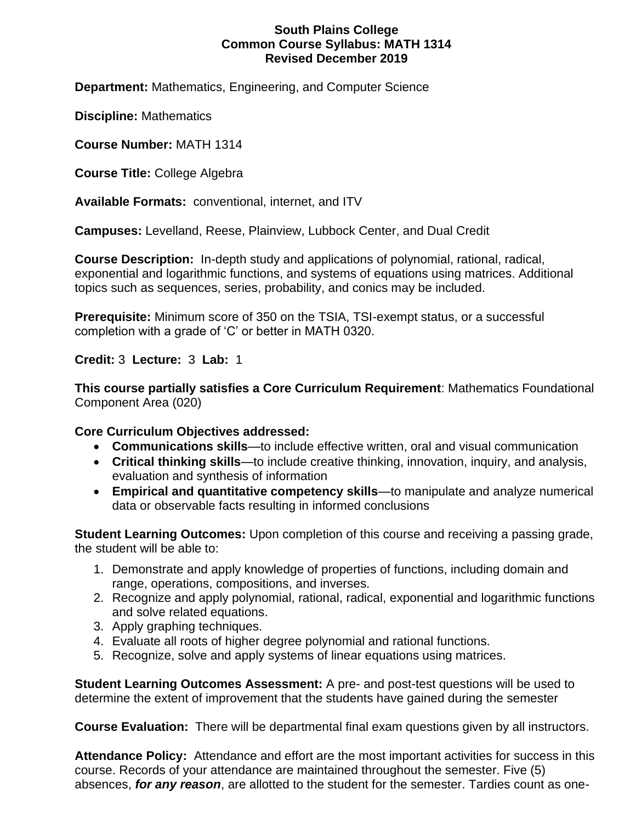#### **South Plains College Common Course Syllabus: MATH 1314 Revised December 2019**

**Department:** Mathematics, Engineering, and Computer Science

**Discipline:** Mathematics

**Course Number:** MATH 1314

**Course Title:** College Algebra

**Available Formats:** conventional, internet, and ITV

**Campuses:** Levelland, Reese, Plainview, Lubbock Center, and Dual Credit

**Course Description:** In-depth study and applications of polynomial, rational, radical, exponential and logarithmic functions, and systems of equations using matrices. Additional topics such as sequences, series, probability, and conics may be included.

**Prerequisite:** Minimum score of 350 on the TSIA, TSI-exempt status, or a successful completion with a grade of 'C' or better in MATH 0320.

**Credit:** 3 **Lecture:** 3 **Lab:** 1

**This course partially satisfies a Core Curriculum Requirement**: Mathematics Foundational Component Area (020)

#### **Core Curriculum Objectives addressed:**

- **Communications skills**—to include effective written, oral and visual communication
- **Critical thinking skills**—to include creative thinking, innovation, inquiry, and analysis, evaluation and synthesis of information
- **Empirical and quantitative competency skills**—to manipulate and analyze numerical data or observable facts resulting in informed conclusions

**Student Learning Outcomes:** Upon completion of this course and receiving a passing grade, the student will be able to:

- 1. Demonstrate and apply knowledge of properties of functions, including domain and range, operations, compositions, and inverses.
- 2. Recognize and apply polynomial, rational, radical, exponential and logarithmic functions and solve related equations.
- 3. Apply graphing techniques.
- 4. Evaluate all roots of higher degree polynomial and rational functions.
- 5. Recognize, solve and apply systems of linear equations using matrices.

**Student Learning Outcomes Assessment:** A pre- and post-test questions will be used to determine the extent of improvement that the students have gained during the semester

**Course Evaluation:** There will be departmental final exam questions given by all instructors.

**Attendance Policy:** Attendance and effort are the most important activities for success in this course. Records of your attendance are maintained throughout the semester. Five (5) absences, *for any reason*, are allotted to the student for the semester. Tardies count as one-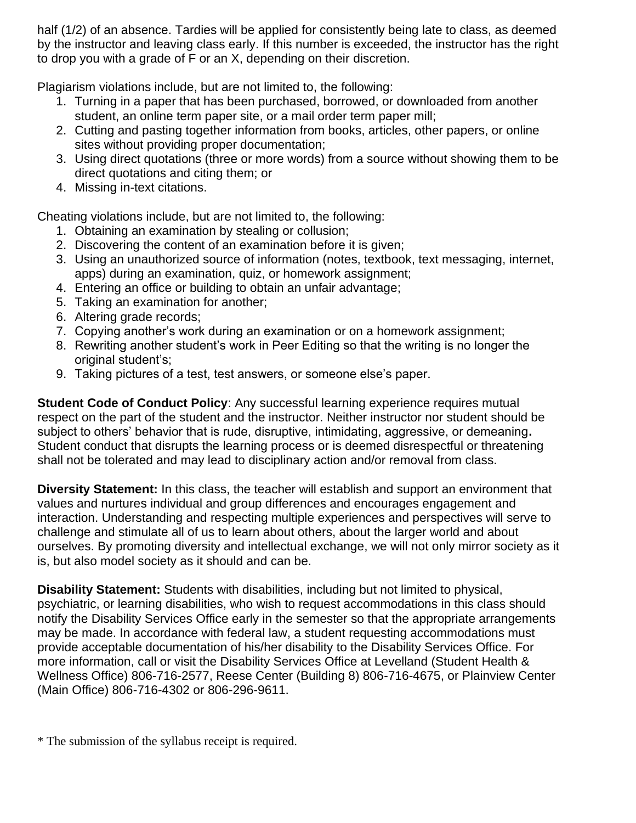half (1/2) of an absence. Tardies will be applied for consistently being late to class, as deemed by the instructor and leaving class early. If this number is exceeded, the instructor has the right to drop you with a grade of F or an X, depending on their discretion.

Plagiarism violations include, but are not limited to, the following:

- 1. Turning in a paper that has been purchased, borrowed, or downloaded from another student, an online term paper site, or a mail order term paper mill;
- 2. Cutting and pasting together information from books, articles, other papers, or online sites without providing proper documentation;
- 3. Using direct quotations (three or more words) from a source without showing them to be direct quotations and citing them; or
- 4. Missing in-text citations.

Cheating violations include, but are not limited to, the following:

- 1. Obtaining an examination by stealing or collusion;
- 2. Discovering the content of an examination before it is given;
- 3. Using an unauthorized source of information (notes, textbook, text messaging, internet, apps) during an examination, quiz, or homework assignment;
- 4. Entering an office or building to obtain an unfair advantage;
- 5. Taking an examination for another;
- 6. Altering grade records;
- 7. Copying another's work during an examination or on a homework assignment;
- 8. Rewriting another student's work in Peer Editing so that the writing is no longer the original student's;
- 9. Taking pictures of a test, test answers, or someone else's paper.

**Student Code of Conduct Policy**: Any successful learning experience requires mutual respect on the part of the student and the instructor. Neither instructor nor student should be subject to others' behavior that is rude, disruptive, intimidating, aggressive, or demeaning**.**  Student conduct that disrupts the learning process or is deemed disrespectful or threatening shall not be tolerated and may lead to disciplinary action and/or removal from class.

**Diversity Statement:** In this class, the teacher will establish and support an environment that values and nurtures individual and group differences and encourages engagement and interaction. Understanding and respecting multiple experiences and perspectives will serve to challenge and stimulate all of us to learn about others, about the larger world and about ourselves. By promoting diversity and intellectual exchange, we will not only mirror society as it is, but also model society as it should and can be.

**Disability Statement:** Students with disabilities, including but not limited to physical, psychiatric, or learning disabilities, who wish to request accommodations in this class should notify the Disability Services Office early in the semester so that the appropriate arrangements may be made. In accordance with federal law, a student requesting accommodations must provide acceptable documentation of his/her disability to the Disability Services Office. For more information, call or visit the Disability Services Office at Levelland (Student Health & Wellness Office) 806-716-2577, Reese Center (Building 8) 806-716-4675, or Plainview Center (Main Office) 806-716-4302 or 806-296-9611.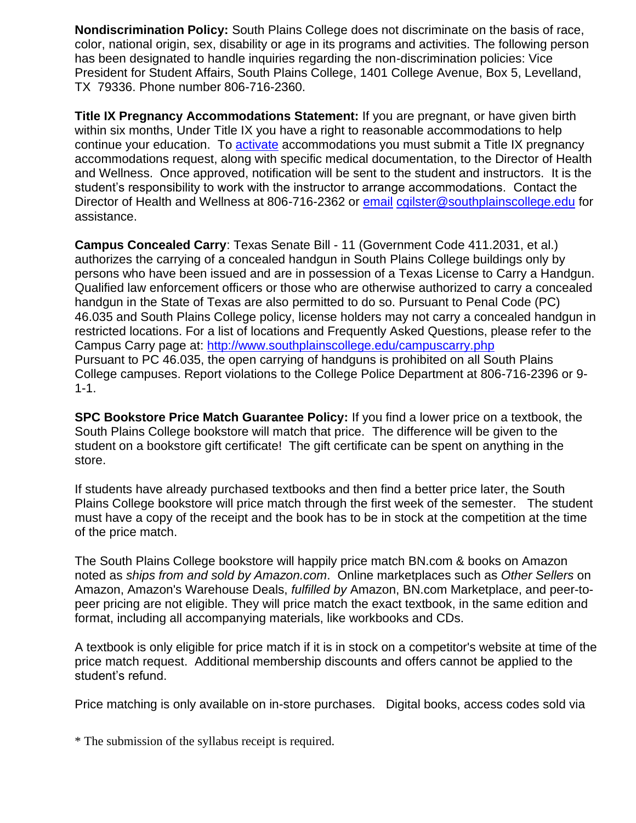**Nondiscrimination Policy:** South Plains College does not discriminate on the basis of race, color, national origin, sex, disability or age in its programs and activities. The following person has been designated to handle inquiries regarding the non-discrimination policies: Vice President for Student Affairs, South Plains College, 1401 College Avenue, Box 5, Levelland, TX 79336. Phone number 806-716-2360.

**Title IX Pregnancy Accommodations Statement:** If you are pregnant, or have given birth within six months, Under Title IX you have a right to reasonable accommodations to help continue your education. To [activate](http://www.southplainscollege.edu/employees/manualshandbooks/facultyhandbook/sec4.php) accommodations you must submit a Title IX pregnancy accommodations request, along with specific medical documentation, to the Director of Health and Wellness. Once approved, notification will be sent to the student and instructors. It is the student's responsibility to work with the instructor to arrange accommodations. Contact the Director of Health and Wellness at 806-716-2362 or [email](http://www.southplainscollege.edu/employees/manualshandbooks/facultyhandbook/sec4.php) [cgilster@southplainscollege.edu](mailto:cgilster@southplainscollege.edu) for assistance.

**Campus Concealed Carry**: Texas Senate Bill - 11 (Government Code 411.2031, et al.) authorizes the carrying of a concealed handgun in South Plains College buildings only by persons who have been issued and are in possession of a Texas License to Carry a Handgun. Qualified law enforcement officers or those who are otherwise authorized to carry a concealed handgun in the State of Texas are also permitted to do so. Pursuant to Penal Code (PC) 46.035 and South Plains College policy, license holders may not carry a concealed handgun in restricted locations. For a list of locations and Frequently Asked Questions, please refer to the Campus Carry page at: <http://www.southplainscollege.edu/campuscarry.php> Pursuant to PC 46.035, the open carrying of handguns is prohibited on all South Plains College campuses. Report violations to the College Police Department at 806-716-2396 or 9- 1-1.

**SPC Bookstore Price Match Guarantee Policy:** If you find a lower price on a textbook, the South Plains College bookstore will match that price. The difference will be given to the student on a bookstore gift certificate! The gift certificate can be spent on anything in the store.

If students have already purchased textbooks and then find a better price later, the South Plains College bookstore will price match through the first week of the semester. The student must have a copy of the receipt and the book has to be in stock at the competition at the time of the price match.

The South Plains College bookstore will happily price match BN.com & books on Amazon noted as *ships from and sold by Amazon.com*. Online marketplaces such as *Other Sellers* on Amazon, Amazon's Warehouse Deals, *fulfilled by* Amazon, BN.com Marketplace, and peer-topeer pricing are not eligible. They will price match the exact textbook, in the same edition and format, including all accompanying materials, like workbooks and CDs.

A textbook is only eligible for price match if it is in stock on a competitor's website at time of the price match request. Additional membership discounts and offers cannot be applied to the student's refund.

Price matching is only available on in-store purchases. Digital books, access codes sold via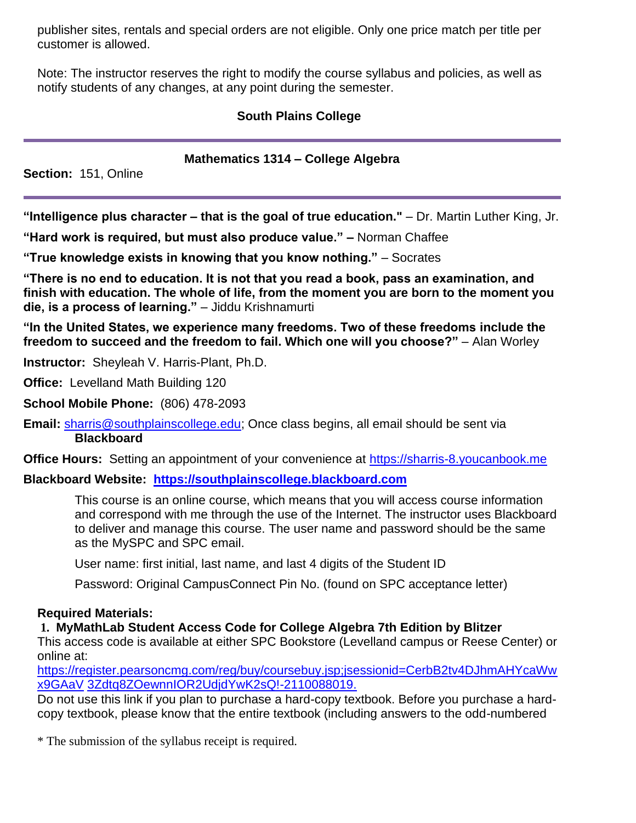publisher sites, rentals and special orders are not eligible. Only one price match per title per customer is allowed.

Note: The instructor reserves the right to modify the course syllabus and policies, as well as notify students of any changes, at any point during the semester.

## **South Plains College**

#### **Mathematics 1314 – College Algebra**

**Section:** 151, Online

**"Intelligence plus character – that is the goal of true education."** – Dr. Martin Luther King, Jr.

**"Hard work is required, but must also produce value." –** Norman Chaffee

**"True knowledge exists in knowing that you know nothing."** – Socrates

**"There is no end to education. It is not that you read a book, pass an examination, and finish with education. The whole of life, from the moment you are born to the moment you die, is a process of learning."** – Jiddu Krishnamurti

**"In the United States, we experience many freedoms. Two of these freedoms include the freedom to succeed and the freedom to fail. Which one will you choose?"** – Alan Worley

**Instructor:** Sheyleah V. Harris-Plant, Ph.D.

**Office:** Levelland Math Building 120

**School Mobile Phone:** (806) 478-2093

**Email:** [sharris@southplainscollege.edu;](mailto:sharris@southplainscollege.edu) Once class begins, all email should be sent via **Blackboard**

**Office Hours:** Setting an appointment of your convenience at [https://sharris-8.youcanbook.me](https://sharris-8.youcanbook.me/)

**Blackboard Website: [https://southplainscollege.blackboard.com](https://southplainscollege.blackboard.com/)**

This course is an online course, which means that you will access course information and correspond with me through the use of the Internet. The instructor uses Blackboard to deliver and manage this course. The user name and password should be the same as the MySPC and SPC email.

User name: first initial, last name, and last 4 digits of the Student ID

Password: Original CampusConnect Pin No. (found on SPC acceptance letter)

## **Required Materials:**

**1. MyMathLab Student Access Code for College Algebra 7th Edition by Blitzer**

This access code is available at either SPC Bookstore (Levelland campus or Reese Center) or online at:

[https://register.pearsoncmg.com/reg/buy/coursebuy.jsp;jsessionid=CerbB2tv4DJhmAHYcaWw](https://register.pearsoncmg.com/reg/buy/coursebuy.jsp%3Bjsessionid%3DCerbB2tv4DJhmAHYcaWwx9GAaV3Zdtq8ZOewnnIOR2UdjdYwK2sQ!-2110088019) [x9GAaV](https://register.pearsoncmg.com/reg/buy/coursebuy.jsp%3Bjsessionid%3DCerbB2tv4DJhmAHYcaWwx9GAaV3Zdtq8ZOewnnIOR2UdjdYwK2sQ!-2110088019) [3Zdtq8ZOewnnIOR2UdjdYwK2sQ!-2110088019.](https://register.pearsoncmg.com/reg/buy/coursebuy.jsp%3Bjsessionid%3DCerbB2tv4DJhmAHYcaWwx9GAaV3Zdtq8ZOewnnIOR2UdjdYwK2sQ!-2110088019)

Do not use this link if you plan to purchase a hard-copy textbook. Before you purchase a hardcopy textbook, please know that the entire textbook (including answers to the odd-numbered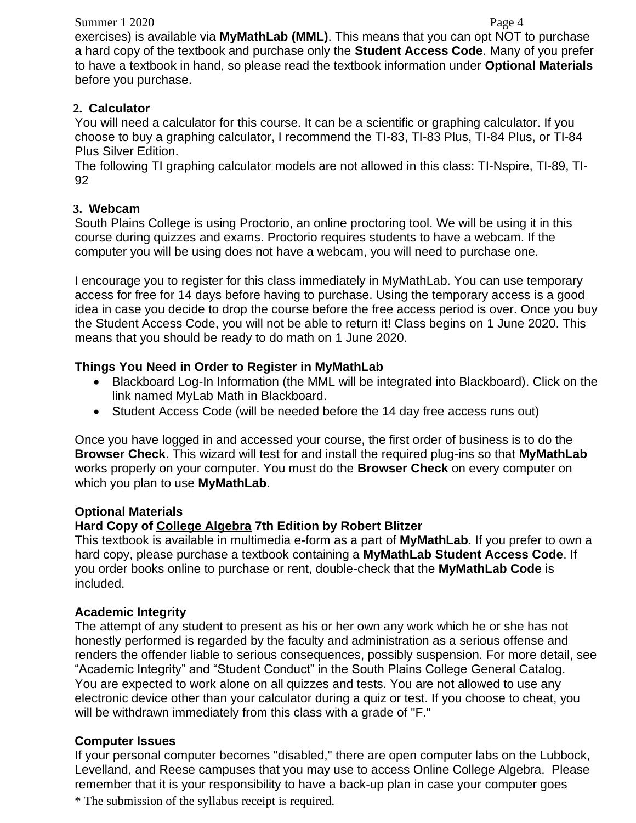#### Summer 1 2020 Page 4

exercises) is available via **MyMathLab (MML)**. This means that you can opt NOT to purchase a hard copy of the textbook and purchase only the **Student Access Code**. Many of you prefer to have a textbook in hand, so please read the textbook information under **Optional Materials**  before you purchase.

#### **2. Calculator**

You will need a calculator for this course. It can be a scientific or graphing calculator. If you choose to buy a graphing calculator, I recommend the TI-83, TI-83 Plus, TI-84 Plus, or TI-84 Plus Silver Edition.

The following TI graphing calculator models are not allowed in this class: TI-Nspire, TI-89, TI-92

#### **3. Webcam**

South Plains College is using Proctorio, an online proctoring tool. We will be using it in this course during quizzes and exams. Proctorio requires students to have a webcam. If the computer you will be using does not have a webcam, you will need to purchase one.

I encourage you to register for this class immediately in MyMathLab. You can use temporary access for free for 14 days before having to purchase. Using the temporary access is a good idea in case you decide to drop the course before the free access period is over. Once you buy the Student Access Code, you will not be able to return it! Class begins on 1 June 2020. This means that you should be ready to do math on 1 June 2020.

## **Things You Need in Order to Register in MyMathLab**

- Blackboard Log-In Information (the MML will be integrated into Blackboard). Click on the link named MyLab Math in Blackboard.
- Student Access Code (will be needed before the 14 day free access runs out)

Once you have logged in and accessed your course, the first order of business is to do the **Browser Check**. This wizard will test for and install the required plug-ins so that **MyMathLab**  works properly on your computer. You must do the **Browser Check** on every computer on which you plan to use **MyMathLab**.

## **Optional Materials**

## **Hard Copy of College Algebra 7th Edition by Robert Blitzer**

This textbook is available in multimedia e-form as a part of **MyMathLab**. If you prefer to own a hard copy, please purchase a textbook containing a **MyMathLab Student Access Code**. If you order books online to purchase or rent, double-check that the **MyMathLab Code** is included.

## **Academic Integrity**

The attempt of any student to present as his or her own any work which he or she has not honestly performed is regarded by the faculty and administration as a serious offense and renders the offender liable to serious consequences, possibly suspension. For more detail, see "Academic Integrity" and "Student Conduct" in the South Plains College General Catalog. You are expected to work alone on all quizzes and tests. You are not allowed to use any electronic device other than your calculator during a quiz or test. If you choose to cheat, you will be withdrawn immediately from this class with a grade of "F."

## **Computer Issues**

\* The submission of the syllabus receipt is required. If your personal computer becomes "disabled," there are open computer labs on the Lubbock, Levelland, and Reese campuses that you may use to access Online College Algebra. Please remember that it is your responsibility to have a back-up plan in case your computer goes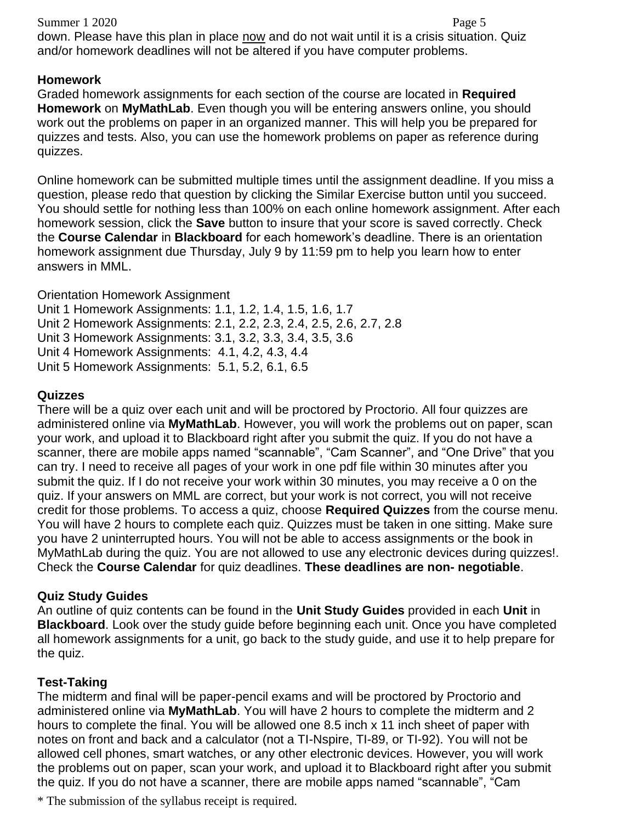#### Summer 1 2020 Page 5

down. Please have this plan in place now and do not wait until it is a crisis situation. Quiz and/or homework deadlines will not be altered if you have computer problems.

# **Homework**

Graded homework assignments for each section of the course are located in **Required Homework** on **MyMathLab**. Even though you will be entering answers online, you should work out the problems on paper in an organized manner. This will help you be prepared for quizzes and tests. Also, you can use the homework problems on paper as reference during quizzes.

Online homework can be submitted multiple times until the assignment deadline. If you miss a question, please redo that question by clicking the Similar Exercise button until you succeed. You should settle for nothing less than 100% on each online homework assignment. After each homework session, click the **Save** button to insure that your score is saved correctly. Check the **Course Calendar** in **Blackboard** for each homework's deadline. There is an orientation homework assignment due Thursday, July 9 by 11:59 pm to help you learn how to enter answers in MML.

Orientation Homework Assignment Unit 1 Homework Assignments: 1.1, 1.2, 1.4, 1.5, 1.6, 1.7 Unit 2 Homework Assignments: 2.1, 2.2, 2.3, 2.4, 2.5, 2.6, 2.7, 2.8 Unit 3 Homework Assignments: 3.1, 3.2, 3.3, 3.4, 3.5, 3.6 Unit 4 Homework Assignments: 4.1, 4.2, 4.3, 4.4 Unit 5 Homework Assignments: 5.1, 5.2, 6.1, 6.5

## **Quizzes**

There will be a quiz over each unit and will be proctored by Proctorio. All four quizzes are administered online via **MyMathLab**. However, you will work the problems out on paper, scan your work, and upload it to Blackboard right after you submit the quiz. If you do not have a scanner, there are mobile apps named "scannable", "Cam Scanner", and "One Drive" that you can try. I need to receive all pages of your work in one pdf file within 30 minutes after you submit the quiz. If I do not receive your work within 30 minutes, you may receive a 0 on the quiz. If your answers on MML are correct, but your work is not correct, you will not receive credit for those problems. To access a quiz, choose **Required Quizzes** from the course menu. You will have 2 hours to complete each quiz. Quizzes must be taken in one sitting. Make sure you have 2 uninterrupted hours. You will not be able to access assignments or the book in MyMathLab during the quiz. You are not allowed to use any electronic devices during quizzes!. Check the **Course Calendar** for quiz deadlines. **These deadlines are non- negotiable**.

# **Quiz Study Guides**

An outline of quiz contents can be found in the **Unit Study Guides** provided in each **Unit** in **Blackboard**. Look over the study guide before beginning each unit. Once you have completed all homework assignments for a unit, go back to the study guide, and use it to help prepare for the quiz.

# **Test-Taking**

The midterm and final will be paper-pencil exams and will be proctored by Proctorio and administered online via **MyMathLab**. You will have 2 hours to complete the midterm and 2 hours to complete the final. You will be allowed one 8.5 inch x 11 inch sheet of paper with notes on front and back and a calculator (not a TI-Nspire, TI-89, or TI-92). You will not be allowed cell phones, smart watches, or any other electronic devices. However, you will work the problems out on paper, scan your work, and upload it to Blackboard right after you submit the quiz. If you do not have a scanner, there are mobile apps named "scannable", "Cam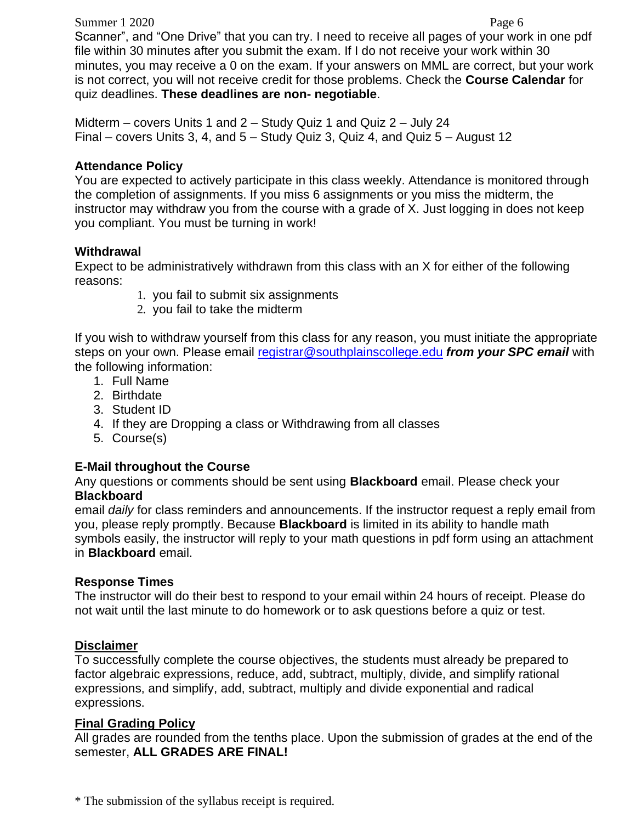Summer 1 2020 Page 6

Scanner", and "One Drive" that you can try. I need to receive all pages of your work in one pdf file within 30 minutes after you submit the exam. If I do not receive your work within 30 minutes, you may receive a 0 on the exam. If your answers on MML are correct, but your work is not correct, you will not receive credit for those problems. Check the **Course Calendar** for quiz deadlines. **These deadlines are non- negotiable**.

Midterm – covers Units 1 and 2 – Study Quiz 1 and Quiz 2 – July 24 Final – covers Units 3, 4, and 5 – Study Quiz 3, Quiz 4, and Quiz 5 – August 12

## **Attendance Policy**

You are expected to actively participate in this class weekly. Attendance is monitored through the completion of assignments. If you miss 6 assignments or you miss the midterm, the instructor may withdraw you from the course with a grade of X. Just logging in does not keep you compliant. You must be turning in work!

#### **Withdrawal**

Expect to be administratively withdrawn from this class with an X for either of the following reasons:

- 1. you fail to submit six assignments
- 2. you fail to take the midterm

If you wish to withdraw yourself from this class for any reason, you must initiate the appropriate steps on your own. Please email [registrar@southplainscollege.edu](mailto:registrar@southplainscollege.edu) *from your SPC email* with the following information:

- 1. Full Name
- 2. Birthdate
- 3. Student ID
- 4. If they are Dropping a class or Withdrawing from all classes
- 5. Course(s)

## **E-Mail throughout the Course**

Any questions or comments should be sent using **Blackboard** email. Please check your **Blackboard**

email *daily* for class reminders and announcements. If the instructor request a reply email from you, please reply promptly. Because **Blackboard** is limited in its ability to handle math symbols easily, the instructor will reply to your math questions in pdf form using an attachment in **Blackboard** email.

## **Response Times**

The instructor will do their best to respond to your email within 24 hours of receipt. Please do not wait until the last minute to do homework or to ask questions before a quiz or test.

## **Disclaimer**

To successfully complete the course objectives, the students must already be prepared to factor algebraic expressions, reduce, add, subtract, multiply, divide, and simplify rational expressions, and simplify, add, subtract, multiply and divide exponential and radical expressions.

## **Final Grading Policy**

All grades are rounded from the tenths place. Upon the submission of grades at the end of the semester, **ALL GRADES ARE FINAL!**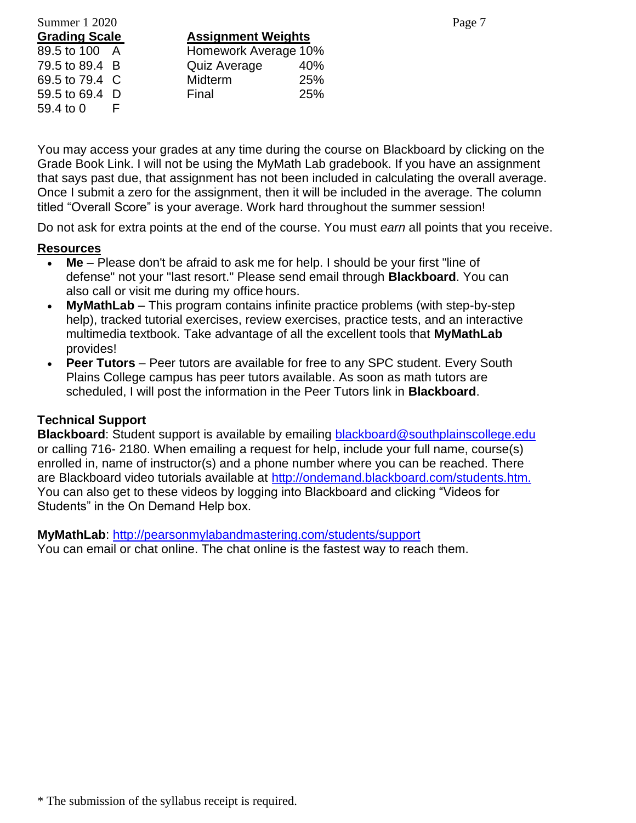# Summer 1 2020 Page 7 79.5 to 89.4 B Quiz Average 59.4 to 0 F

**Grading Scale Assignment Weights** 89.5 to 100 A Homework Average 10%<br>79.5 to 89.4 B Quiz Average 40% 69.5 to 79.4 C Midterm 25% 59.5 to 69.4 D Final 25%

You may access your grades at any time during the course on Blackboard by clicking on the Grade Book Link. I will not be using the MyMath Lab gradebook. If you have an assignment that says past due, that assignment has not been included in calculating the overall average. Once I submit a zero for the assignment, then it will be included in the average. The column titled "Overall Score" is your average. Work hard throughout the summer session!

Do not ask for extra points at the end of the course. You must *earn* all points that you receive.

## **Resources**

- Me Please don't be afraid to ask me for help. I should be your first "line of defense" not your "last resort." Please send email through **Blackboard**. You can also call or visit me during my office hours.
- **MyMathLab**  This program contains infinite practice problems (with step-by-step help), tracked tutorial exercises, review exercises, practice tests, and an interactive multimedia textbook. Take advantage of all the excellent tools that **MyMathLab** provides!
- **Peer Tutors** Peer tutors are available for free to any SPC student. Every South Plains College campus has peer tutors available. As soon as math tutors are scheduled, I will post the information in the Peer Tutors link in **Blackboard**.

# **Technical Support**

**Blackboard**: Student support is available by emailing [blackboard@southplainscollege.edu](mailto:blackboard@southplainscollege.edu)  or calling 716- 2180. When emailing a request for help, include your full name, course(s) enrolled in, name of instructor(s) and a phone number where you can be reached. There are Blackboard video tutorials available at [http://ondemand.blackboard.com/students.htm.](http://ondemand.blackboard.com/students.htm)  You can also get to these videos by logging into Blackboard and clicking "Videos for Students" in the On Demand Help box.

**MyMathLab**:<http://pearsonmylabandmastering.com/students/support> You can email or chat online. The chat online is the fastest way to reach them.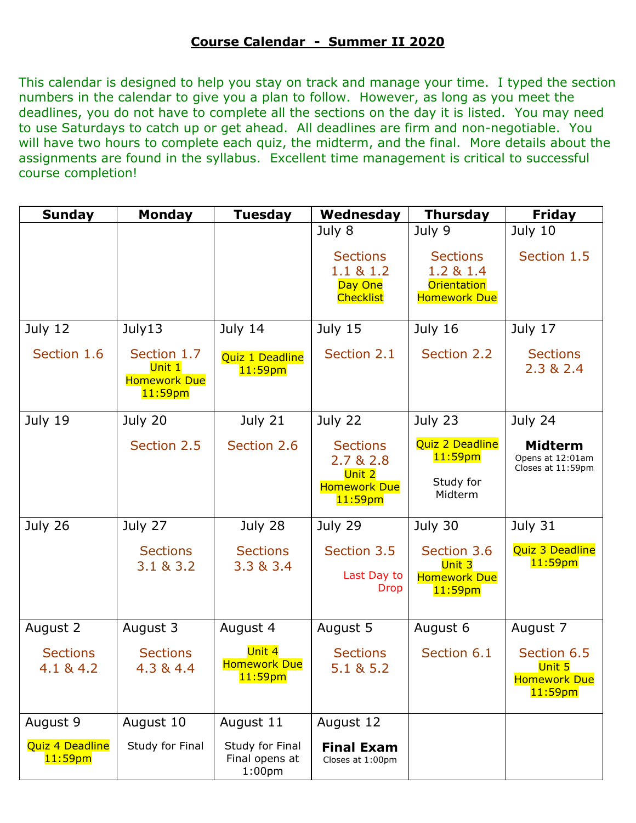## **Course Calendar - Summer II 2020**

This calendar is designed to help you stay on track and manage your time. I typed the section numbers in the calendar to give you a plan to follow. However, as long as you meet the deadlines, you do not have to complete all the sections on the day it is listed. You may need to use Saturdays to catch up or get ahead. All deadlines are firm and non-negotiable. You will have two hours to complete each quiz, the midterm, and the final. More details about the assignments are found in the syllabus. Excellent time management is critical to successful course completion!

| <b>Sunday</b>                 | <b>Monday</b>                                              | <b>Tuesday</b>                                          | Wednesday                                                                   | <b>Thursday</b>                                                                     | <b>Friday</b>                                              |
|-------------------------------|------------------------------------------------------------|---------------------------------------------------------|-----------------------------------------------------------------------------|-------------------------------------------------------------------------------------|------------------------------------------------------------|
|                               |                                                            |                                                         | July 8<br><b>Sections</b><br>1.1 & 8 & 1.2<br>Day One<br><b>Checklist</b>   | July 9<br><b>Sections</b><br>1.2 & 1.4<br><b>Orientation</b><br><b>Homework Due</b> | July 10<br>Section 1.5                                     |
| July 12                       | July13                                                     | July 14                                                 | July 15                                                                     | July 16                                                                             | July 17                                                    |
| Section 1.6                   | Section 1.7<br>Unit 1<br><b>Homework Due</b><br>$11:59$ pm | <b>Quiz 1 Deadline</b><br>$11:59$ pm                    | Section 2.1                                                                 | Section 2.2                                                                         | <b>Sections</b><br>2.3 & 2.4                               |
| July 19                       | July 20                                                    | July 21                                                 | July 22                                                                     | July 23                                                                             | July 24                                                    |
|                               | Section 2.5                                                | Section 2.6                                             | <b>Sections</b><br>2.7 & 2.8<br>Unit 2<br><b>Homework Due</b><br>$11:59$ pm | Quiz 2 Deadline<br>$11:59$ pm<br>Study for<br>Midterm                               | <b>Midterm</b><br>Opens at 12:01am<br>Closes at 11:59pm    |
| July 26                       | July 27                                                    | July 28                                                 | July 29                                                                     | July 30                                                                             | July 31                                                    |
|                               | <b>Sections</b><br>3.1 & 3.2                               | <b>Sections</b><br>3.3 & 3.4                            | Section 3.5<br>Last Day to<br><b>Drop</b>                                   | Section 3.6<br>Unit 3<br><b>Homework Due</b><br>$11:59$ pm                          | Quiz 3 Deadline<br>$11:59$ pm                              |
| August 2                      | August 3                                                   | August 4                                                | August 5                                                                    | August 6                                                                            | August 7                                                   |
| <b>Sections</b><br>4.1 & 4.2  | <b>Sections</b><br>4.3 & 4.4                               | Unit 4<br><b>Homework Due</b><br>11:59 <sub>pm</sub>    | <b>Sections</b><br>5.1 & 5.2                                                | Section 6.1                                                                         | Section 6.5<br>Unit 5<br><b>Homework Due</b><br>$11:59$ pm |
| August 9                      | August 10                                                  | August 11                                               | August 12                                                                   |                                                                                     |                                                            |
| Quiz 4 Deadline<br>$11:59$ pm | Study for Final                                            | Study for Final<br>Final opens at<br>1:00 <sub>pm</sub> | <b>Final Exam</b><br>Closes at 1:00pm                                       |                                                                                     |                                                            |